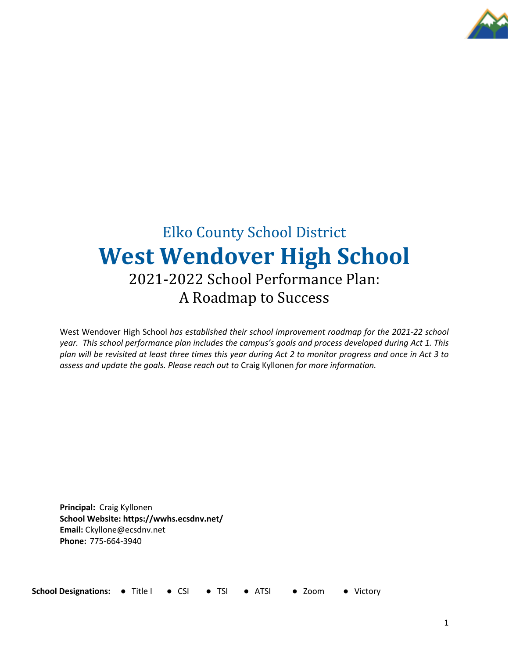

# **Elko County School District West Wendover High School** 2021-2022 School Performance Plan: A Roadmap to Success

West Wendover High School *has established their school improvement roadmap for the 2021-22 school year. This school performance plan includes the campus's goals and process developed during Act 1. This plan will be revisited at least three times this year during Act 2 to monitor progress and once in Act 3 to assess and update the goals. Please reach out to* Craig Kyllonen *for more information.*

**Principal:** Craig Kyllonen **School Website: https://wwhs.ecsdnv.net/ Email:** Ckyllone@ecsdnv.net **Phone:** 775-664-3940

**School Designations: ● Title I ● CSI ● TSI ● ATSI ● Zoom ● Victory**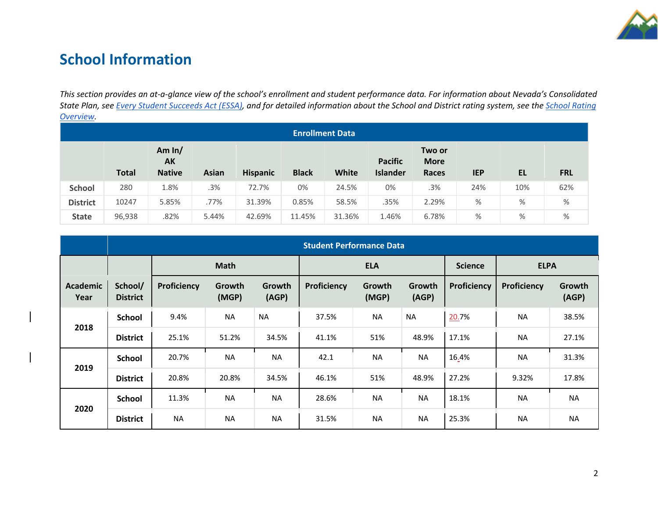

## **School Information**

*This section provides an at-a-glance view of the school's enrollment and student performance data. For information about Nevada's Consolidated State Plan, see Every Student Succeeds Act (ESSA), and for detailed information about the School and District rating system, see the School Rating Overview.*

| <b>Enrollment Data</b> |              |                                 |              |                 |              |        |                                   |                                |            |     |            |
|------------------------|--------------|---------------------------------|--------------|-----------------|--------------|--------|-----------------------------------|--------------------------------|------------|-----|------------|
|                        | <b>Total</b> | Am $ln/$<br>AK<br><b>Native</b> | <b>Asian</b> | <b>Hispanic</b> | <b>Black</b> | White  | <b>Pacific</b><br><b>Islander</b> | Two or<br><b>More</b><br>Races | <b>IEP</b> | EL  | <b>FRL</b> |
| <b>School</b>          | 280          | 1.8%                            | .3%          | 72.7%           | 0%           | 24.5%  | 0%                                | .3%                            | 24%        | 10% | 62%        |
| <b>District</b>        | 10247        | 5.85%                           | .77%         | 31.39%          | 0.85%        | 58.5%  | .35%                              | 2.29%                          | $\%$       | %   | %          |
| <b>State</b>           | 96,938       | .82%                            | 5.44%        | 42.69%          | 11.45%       | 31.36% | 1.46%                             | 6.78%                          | %          | %   | %          |

|                         | <b>Student Performance Data</b> |             |                 |                 |             |                 |                 |                |             |                 |
|-------------------------|---------------------------------|-------------|-----------------|-----------------|-------------|-----------------|-----------------|----------------|-------------|-----------------|
|                         |                                 | <b>Math</b> |                 |                 | <b>ELA</b>  |                 |                 | <b>Science</b> | <b>ELPA</b> |                 |
| <b>Academic</b><br>Year | School/<br><b>District</b>      | Proficiency | Growth<br>(MGP) | Growth<br>(AGP) | Proficiency | Growth<br>(MGP) | Growth<br>(AGP) | Proficiency    | Proficiency | Growth<br>(AGP) |
|                         | <b>School</b>                   | 9.4%        | <b>NA</b>       | <b>NA</b>       | 37.5%       | <b>NA</b>       | <b>NA</b>       | 20.7%          | <b>NA</b>   | 38.5%           |
| 2018                    | <b>District</b>                 | 25.1%       | 51.2%           | 34.5%           | 41.1%       | 51%             | 48.9%           | 17.1%          | <b>NA</b>   | 27.1%           |
|                         | <b>School</b>                   | 20.7%       | <b>NA</b>       | <b>NA</b>       | 42.1        | <b>NA</b>       | <b>NA</b>       | 16.4%          | <b>NA</b>   | 31.3%           |
| 2019                    | <b>District</b>                 | 20.8%       | 20.8%           | 34.5%           | 46.1%       | 51%             | 48.9%           | 27.2%          | 9.32%       | 17.8%           |
|                         | <b>School</b>                   | 11.3%       | <b>NA</b>       | <b>NA</b>       | 28.6%       | <b>NA</b>       | <b>NA</b>       | 18.1%          | <b>NA</b>   | <b>NA</b>       |
| 2020                    | <b>District</b>                 | <b>NA</b>   | <b>NA</b>       | <b>NA</b>       | 31.5%       | <b>NA</b>       | <b>NA</b>       | 25.3%          | <b>NA</b>   | <b>NA</b>       |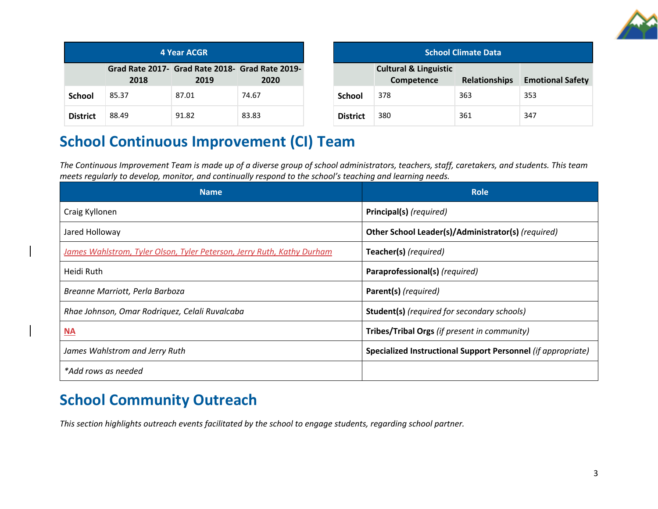

| 4 Year ACGR     |       |                                                         |       |  |  |
|-----------------|-------|---------------------------------------------------------|-------|--|--|
|                 | 2018  | Grad Rate 2017- Grad Rate 2018- Grad Rate 2019-<br>2019 | 2020  |  |  |
| School          | 85.37 | 87.01                                                   | 74.67 |  |  |
| <b>District</b> | 88.49 | 91.82                                                   | 83.83 |  |  |

| <b>School Climate Data</b> |                                                |                      |                         |  |  |
|----------------------------|------------------------------------------------|----------------------|-------------------------|--|--|
|                            | <b>Cultural &amp; Linguistic</b><br>Competence | <b>Relationships</b> | <b>Emotional Safety</b> |  |  |
| <b>School</b>              | 378                                            | 363                  | 353                     |  |  |
| <b>District</b>            | 380                                            | 361                  | 347                     |  |  |

# **School Continuous Improvement (CI) Team**

*The Continuous Improvement Team is made up of a diverse group of school administrators, teachers, staff, caretakers, and students. This team meets regularly to develop, monitor, and continually respond to the school's teaching and learning needs.*

| <b>Name</b>                                                            | <b>Role</b>                                                  |
|------------------------------------------------------------------------|--------------------------------------------------------------|
| Craig Kyllonen                                                         | Principal(s) (required)                                      |
| Jared Holloway                                                         | Other School Leader(s)/Administrator(s) (required)           |
| James Wahlstrom, Tyler Olson, Tyler Peterson, Jerry Ruth, Kathy Durham | Teacher(s) (required)                                        |
| Heidi Ruth                                                             | Paraprofessional(s) (required)                               |
| Breanne Marriott, Perla Barboza                                        | Parent(s) (required)                                         |
| Rhae Johnson, Omar Rodriquez, Celali Ruvalcaba                         | <b>Student(s)</b> (required for secondary schools)           |
| <b>NA</b>                                                              | Tribes/Tribal Orgs (if present in community)                 |
| James Wahlstrom and Jerry Ruth                                         | Specialized Instructional Support Personnel (if appropriate) |
| *Add rows as needed                                                    |                                                              |

## **School Community Outreach**

*This section highlights outreach events facilitated by the school to engage students, regarding school partner.*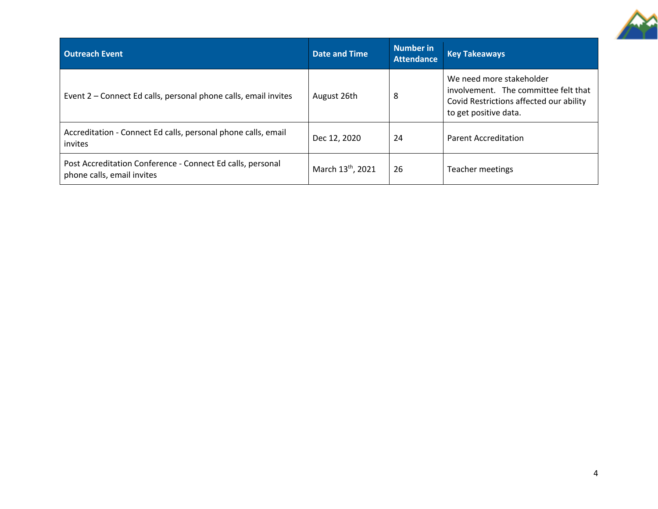

| <b>Outreach Event</b>                                                                    | <b>Date and Time</b>          | Number in<br><b>Attendance</b> | <b>Key Takeaways</b>                                                                                                                 |
|------------------------------------------------------------------------------------------|-------------------------------|--------------------------------|--------------------------------------------------------------------------------------------------------------------------------------|
| Event 2 – Connect Ed calls, personal phone calls, email invites                          | August 26th                   | 8                              | We need more stakeholder<br>involvement. The committee felt that<br>Covid Restrictions affected our ability<br>to get positive data. |
| Accreditation - Connect Ed calls, personal phone calls, email<br>invites                 | Dec 12, 2020                  | 24                             | <b>Parent Accreditation</b>                                                                                                          |
| Post Accreditation Conference - Connect Ed calls, personal<br>phone calls, email invites | March 13 <sup>th</sup> , 2021 | 26                             | Teacher meetings                                                                                                                     |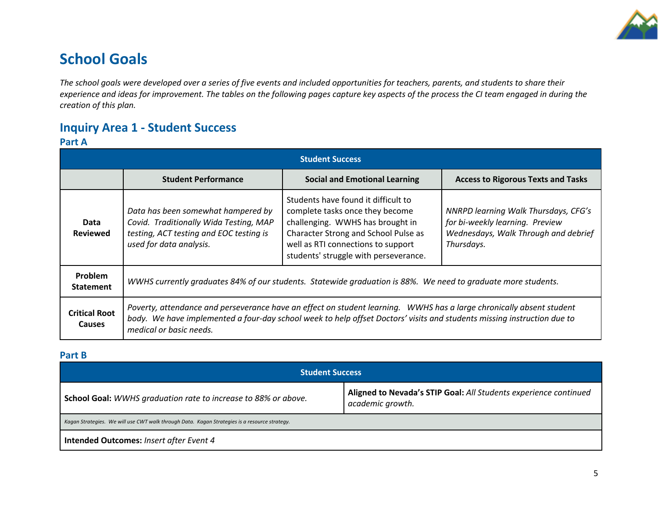

## **School Goals**

*The school goals were developed over a series of five events and included opportunities for teachers, parents, and students to share their experience and ideas for improvement. The tables on the following pages capture key aspects of the process the CI team engaged in during the creation of this plan.* 

## **Inquiry Area 1 - Student Success**

#### **Part A**

|                                       |                                                                                                                                                    | <b>Student Success</b>                                                                                                                                                                                                                          |                                                                                                                                      |  |  |
|---------------------------------------|----------------------------------------------------------------------------------------------------------------------------------------------------|-------------------------------------------------------------------------------------------------------------------------------------------------------------------------------------------------------------------------------------------------|--------------------------------------------------------------------------------------------------------------------------------------|--|--|
|                                       | <b>Student Performance</b>                                                                                                                         | <b>Social and Emotional Learning</b>                                                                                                                                                                                                            | <b>Access to Rigorous Texts and Tasks</b>                                                                                            |  |  |
| Data<br><b>Reviewed</b>               | Data has been somewhat hampered by<br>Covid. Traditionally Wida Testing, MAP<br>testing, ACT testing and EOC testing is<br>used for data analysis. | Students have found it difficult to<br>complete tasks once they become<br>challenging. WWHS has brought in<br>Character Strong and School Pulse as<br>well as RTI connections to support<br>students' struggle with perseverance.               | <b>NNRPD learning Walk Thursdays, CFG's</b><br>for bi-weekly learning. Preview<br>Wednesdays, Walk Through and debrief<br>Thursdays. |  |  |
| <b>Problem</b><br><b>Statement</b>    | WWHS currently graduates 84% of our students. Statewide graduation is 88%. We need to graduate more students.                                      |                                                                                                                                                                                                                                                 |                                                                                                                                      |  |  |
| <b>Critical Root</b><br><b>Causes</b> | medical or basic needs.                                                                                                                            | Poverty, attendance and perseverance have an effect on student learning. WWHS has a large chronically absent student<br>body. We have implemented a four-day school week to help offset Doctors' visits and students missing instruction due to |                                                                                                                                      |  |  |

#### **Part B**

| <b>Student Success</b>                                                                        |                                                                                      |  |  |  |
|-----------------------------------------------------------------------------------------------|--------------------------------------------------------------------------------------|--|--|--|
| School Goal: WWHS graduation rate to increase to 88% or above.                                | Aligned to Nevada's STIP Goal: All Students experience continued<br>academic growth. |  |  |  |
| Kagan Strategies. We will use CWT walk through Data. Kagan Strategies is a resource strategy. |                                                                                      |  |  |  |
| <b>Intended Outcomes: Insert after Event 4</b>                                                |                                                                                      |  |  |  |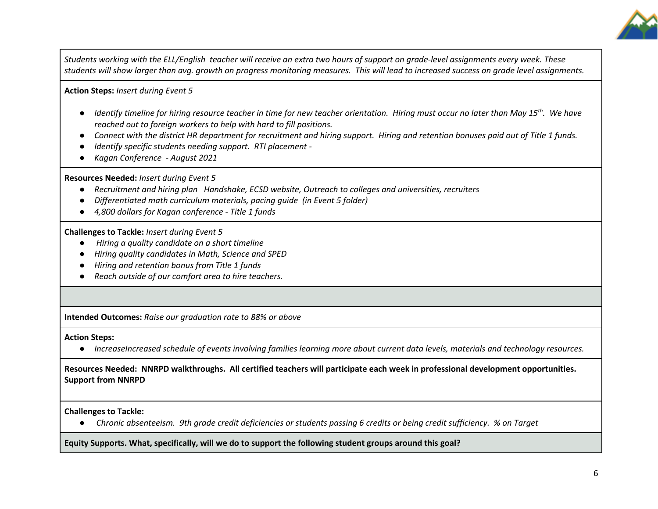

*Students working with the ELL/English teacher will receive an extra two hours of support on grade-level assignments every week. These students will show larger than avg. growth on progress monitoring measures. This will lead to increased success on grade level assignments.* 

**Action Steps:** *Insert during Event 5*

- *Identify timeline for hiring resource teacher in time for new teacher orientation. Hiring must occur no later than May 15<sup>th</sup>. We have reached out to foreign workers to help with hard to fill positions.*
- *Connect with the district HR department for recruitment and hiring support. Hiring and retention bonuses paid out of Title 1 funds.*
- *Identify specific students needing support. RTI placement -*
- *Kagan Conference - August 2021*

**Resources Needed:** *Insert during Event 5*

- *Recruitment and hiring plan Handshake, ECSD website, Outreach to colleges and universities, recruiters*
- *Differentiated math curriculum materials, pacing guide (in Event 5 folder)*
- *4,800 dollars for Kagan conference - Title 1 funds*

**Challenges to Tackle:** *Insert during Event 5*

- *Hiring a quality candidate on a short timeline*
- *Hiring quality candidates in Math, Science and SPED*
- *Hiring and retention bonus from Title 1 funds*
- *Reach outside of our comfort area to hire teachers.*

**Intended Outcomes:** *Raise our graduation rate to 88% or above* 

**Action Steps:** 

● *IncreaseIncreased schedule of events involving families learning more about current data levels, materials and technology resources.*

**Resources Needed: NNRPD walkthroughs. All certified teachers will participate each week in professional development opportunities. Support from NNRPD**

**Challenges to Tackle:** 

● *Chronic absenteeism. 9th grade credit deficiencies or students passing 6 credits or being credit sufficiency. % on Target* 

**Equity Supports. What, specifically, will we do to support the following student groups around this goal?**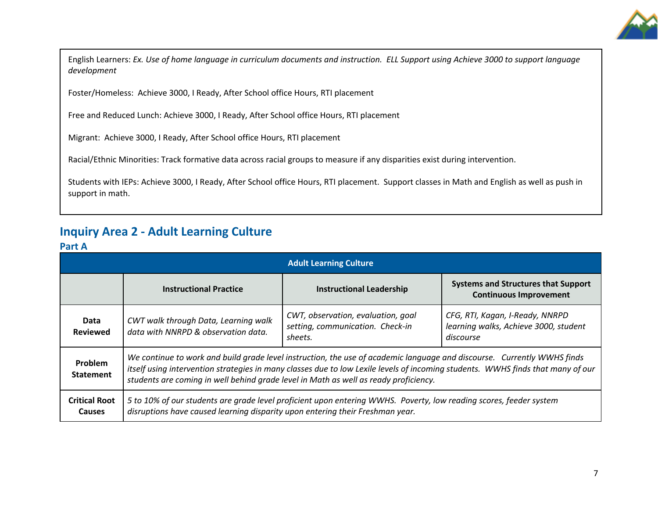

English Learners: *Ex. Use of home language in curriculum documents and instruction. ELL Support using Achieve 3000 to support language development* 

Foster/Homeless: Achieve 3000, I Ready, After School office Hours, RTI placement

Free and Reduced Lunch: Achieve 3000, I Ready, After School office Hours, RTI placement

Migrant: Achieve 3000, I Ready, After School office Hours, RTI placement

Racial/Ethnic Minorities: Track formative data across racial groups to measure if any disparities exist during intervention.

Students with IEPs: Achieve 3000, I Ready, After School office Hours, RTI placement. Support classes in Math and English as well as push in support in math.

### **Inquiry Area 2 - Adult Learning Culture**

#### **Part A**

|                                       | <b>Adult Learning Culture</b>                                                                                                                                                                                                                                                                                                                      |                                                                                   |                                                                                       |  |  |  |
|---------------------------------------|----------------------------------------------------------------------------------------------------------------------------------------------------------------------------------------------------------------------------------------------------------------------------------------------------------------------------------------------------|-----------------------------------------------------------------------------------|---------------------------------------------------------------------------------------|--|--|--|
|                                       | <b>Instructional Practice</b>                                                                                                                                                                                                                                                                                                                      | <b>Instructional Leadership</b>                                                   | <b>Systems and Structures that Support</b><br><b>Continuous Improvement</b>           |  |  |  |
| Data<br><b>Reviewed</b>               | CWT walk through Data, Learning walk<br>data with NNRPD & observation data.                                                                                                                                                                                                                                                                        | CWT, observation, evaluation, goal<br>setting, communication. Check-in<br>sheets. | CFG, RTI, Kagan, I-Ready, NNRPD<br>learning walks, Achieve 3000, student<br>discourse |  |  |  |
| Problem<br><b>Statement</b>           | We continue to work and build grade level instruction, the use of academic language and discourse. Currently WWHS finds<br>itself using intervention strategies in many classes due to low Lexile levels of incoming students. WWHS finds that many of our<br>students are coming in well behind grade level in Math as well as ready proficiency. |                                                                                   |                                                                                       |  |  |  |
| <b>Critical Root</b><br><b>Causes</b> | 5 to 10% of our students are grade level proficient upon entering WWHS. Poverty, low reading scores, feeder system<br>disruptions have caused learning disparity upon entering their Freshman year.                                                                                                                                                |                                                                                   |                                                                                       |  |  |  |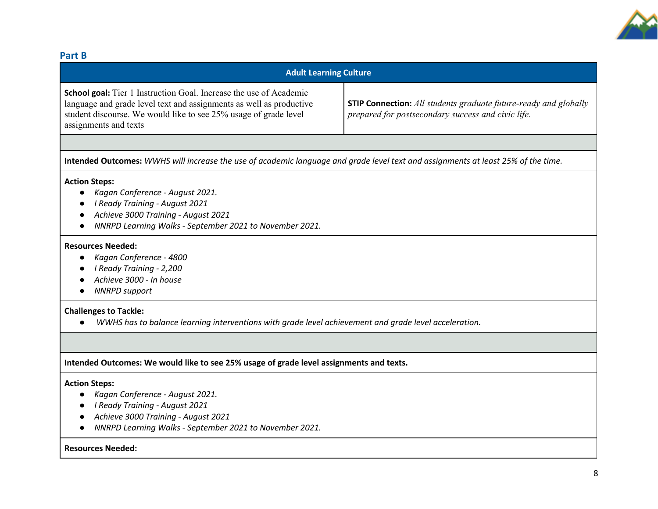

#### **Part B**

| <b>Adult Learning Culture</b>                                                                                                                                                                                                                 |                                                                                                                               |
|-----------------------------------------------------------------------------------------------------------------------------------------------------------------------------------------------------------------------------------------------|-------------------------------------------------------------------------------------------------------------------------------|
| <b>School goal:</b> Tier 1 Instruction Goal. Increase the use of Academic<br>language and grade level text and assignments as well as productive<br>student discourse. We would like to see 25% usage of grade level<br>assignments and texts | <b>STIP Connection:</b> All students graduate future-ready and globally<br>prepared for postsecondary success and civic life. |
|                                                                                                                                                                                                                                               |                                                                                                                               |

**Intended Outcomes:** *WWHS will increase the use of academic language and grade level text and assignments at least 25% of the time.* 

#### **Action Steps:**

- *Kagan Conference - August 2021.*
- *I Ready Training - August 2021*
- *Achieve 3000 Training - August 2021*
- *NNRPD Learning Walks - September 2021 to November 2021.*

#### **Resources Needed:**

- *Kagan Conference - 4800*
- *I Ready Training - 2,200*
- *Achieve 3000 - In house*
- *NNRPD support*

#### **Challenges to Tackle:**

● *WWHS has to balance learning interventions with grade level achievement and grade level acceleration.* 

#### **Intended Outcomes: We would like to see 25% usage of grade level assignments and texts.**

#### **Action Steps:**

- *Kagan Conference - August 2021.*
- *I Ready Training - August 2021*
- *Achieve 3000 Training - August 2021*
- *NNRPD Learning Walks - September 2021 to November 2021.*

#### **Resources Needed:**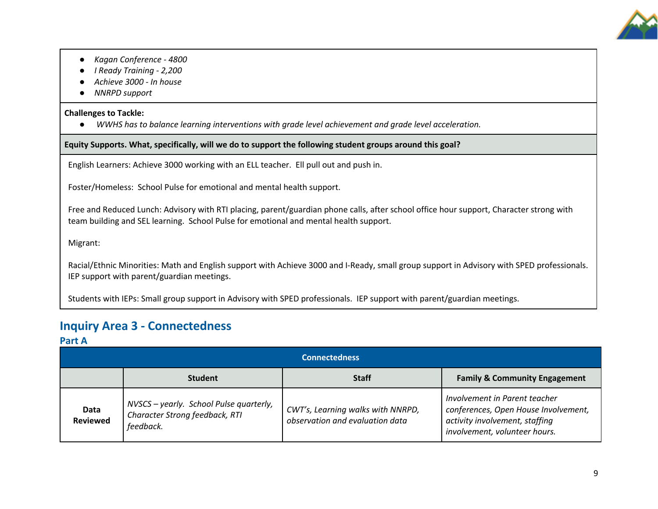

- *Kagan Conference - 4800*
- *I Ready Training - 2,200*
- *Achieve 3000 - In house*
- *NNRPD support*

#### **Challenges to Tackle:**

● *WWHS has to balance learning interventions with grade level achievement and grade level acceleration.* 

**Equity Supports. What, specifically, will we do to support the following student groups around this goal?**

English Learners: Achieve 3000 working with an ELL teacher. Ell pull out and push in.

Foster/Homeless: School Pulse for emotional and mental health support.

Free and Reduced Lunch: Advisory with RTI placing, parent/guardian phone calls, after school office hour support, Character strong with team building and SEL learning. School Pulse for emotional and mental health support.

Migrant:

Racial/Ethnic Minorities: Math and English support with Achieve 3000 and I-Ready, small group support in Advisory with SPED professionals. IEP support with parent/guardian meetings.

Students with IEPs: Small group support in Advisory with SPED professionals. IEP support with parent/guardian meetings.

### **Inquiry Area 3 - Connectedness**

#### **Part A**

|                         |                                                                                        | <b>Connectedness</b>                                                 |                                                                                                                                          |
|-------------------------|----------------------------------------------------------------------------------------|----------------------------------------------------------------------|------------------------------------------------------------------------------------------------------------------------------------------|
|                         | <b>Student</b>                                                                         | <b>Staff</b>                                                         | <b>Family &amp; Community Engagement</b>                                                                                                 |
| Data<br><b>Reviewed</b> | NVSCS - yearly. School Pulse quarterly,<br>Character Strong feedback, RTI<br>feedback. | CWT's, Learning walks with NNRPD,<br>observation and evaluation data | Involvement in Parent teacher<br>conferences, Open House Involvement,<br>activity involvement, staffing<br>involvement, volunteer hours. |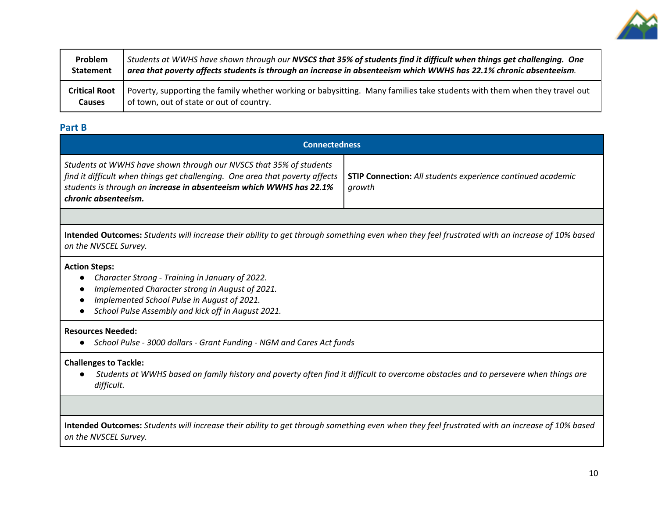

| Problem              | Students at WWHS have shown through our NVSCS that 35% of students find it difficult when things get challenging. One     |
|----------------------|---------------------------------------------------------------------------------------------------------------------------|
| <b>Statement</b>     | area that poverty affects students is through an increase in absenteeism which WWHS has 22.1% chronic absenteeism.        |
| <b>Critical Root</b> | Poverty, supporting the family whether working or babysitting. Many families take students with them when they travel out |
| <b>Causes</b>        | of town, out of state or out of country.                                                                                  |

#### **Part B**

| <b>Connectedness</b>                                                                                                                                                                                                                              |                                                                              |  |  |
|---------------------------------------------------------------------------------------------------------------------------------------------------------------------------------------------------------------------------------------------------|------------------------------------------------------------------------------|--|--|
| Students at WWHS have shown through our NVSCS that 35% of students<br>find it difficult when things get challenging. One area that poverty affects<br>students is through an increase in absenteeism which WWHS has 22.1%<br>chronic absenteeism. | <b>STIP Connection:</b> All students experience continued academic<br>growth |  |  |

**Intended Outcomes:** *Students will increase their ability to get through something even when they feel frustrated with an increase of 10% based on the NVSCEL Survey.* 

#### **Action Steps:**

- *Character Strong - Training in January of 2022.*
- *Implemented Character strong in August of 2021.*
- *Implemented School Pulse in August of 2021.*
- *School Pulse Assembly and kick off in August 2021.*

#### **Resources Needed:**

● *School Pulse - 3000 dollars - Grant Funding - NGM and Cares Act funds*

#### **Challenges to Tackle:**

● *Students at WWHS based on family history and poverty often find it difficult to overcome obstacles and to persevere when things are difficult.* 

**Intended Outcomes:** *Students will increase their ability to get through something even when they feel frustrated with an increase of 10% based on the NVSCEL Survey.*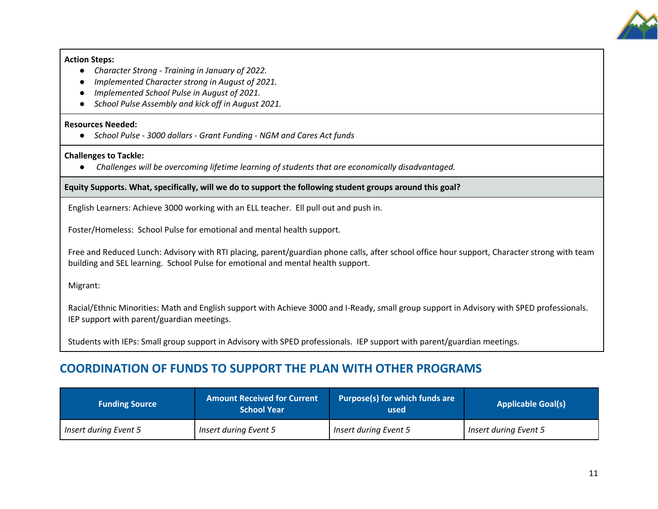

#### **Action Steps:**

- *Character Strong - Training in January of 2022.*
- *Implemented Character strong in August of 2021.*
- *Implemented School Pulse in August of 2021.*
- *School Pulse Assembly and kick off in August 2021.*

#### **Resources Needed:**

● *School Pulse - 3000 dollars - Grant Funding - NGM and Cares Act funds*

#### **Challenges to Tackle:**

● *Challenges will be overcoming lifetime learning of students that are economically disadvantaged.* 

#### **Equity Supports. What, specifically, will we do to support the following student groups around this goal?**

English Learners: Achieve 3000 working with an ELL teacher. Ell pull out and push in.

Foster/Homeless: School Pulse for emotional and mental health support.

Free and Reduced Lunch: Advisory with RTI placing, parent/guardian phone calls, after school office hour support, Character strong with team building and SEL learning. School Pulse for emotional and mental health support.

Migrant:

Racial/Ethnic Minorities: Math and English support with Achieve 3000 and I-Ready, small group support in Advisory with SPED professionals. IEP support with parent/guardian meetings.

Students with IEPs: Small group support in Advisory with SPED professionals. IEP support with parent/guardian meetings.

### **COORDINATION OF FUNDS TO SUPPORT THE PLAN WITH OTHER PROGRAMS**

| <b>Funding Source</b>        | <b>Amount Received for Current</b><br><b>School Year</b> | Purpose(s) for which funds are<br>used | <b>Applicable Goal(s)</b> |
|------------------------------|----------------------------------------------------------|----------------------------------------|---------------------------|
| <b>Insert during Event 5</b> | Insert during Event 5                                    | <b>Insert during Event 5</b>           | Insert during Event 5     |